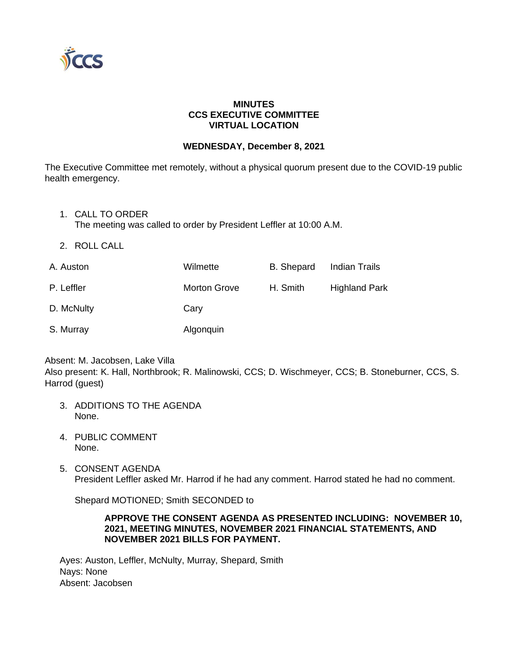

# **MINUTES CCS EXECUTIVE COMMITTEE VIRTUAL LOCATION**

## **WEDNESDAY, December 8, 2021**

The Executive Committee met remotely, without a physical quorum present due to the COVID-19 public health emergency.

1. CALL TO ORDER

The meeting was called to order by President Leffler at 10:00 A.M.

2. ROLL CALL

| A. Auston  | Wilmette            | B. Shepard | Indian Trails        |
|------------|---------------------|------------|----------------------|
| P. Leffler | <b>Morton Grove</b> | H. Smith   | <b>Highland Park</b> |
| D. McNulty | Cary                |            |                      |
| S. Murray  | Algonquin           |            |                      |

Absent: M. Jacobsen, Lake Villa Also present: K. Hall, Northbrook; R. Malinowski, CCS; D. Wischmeyer, CCS; B. Stoneburner, CCS, S. Harrod (guest)

- 3. ADDITIONS TO THE AGENDA None.
- 4. PUBLIC COMMENT None.
- 5. CONSENT AGENDA President Leffler asked Mr. Harrod if he had any comment. Harrod stated he had no comment.

Shepard MOTIONED; Smith SECONDED to

## **APPROVE THE CONSENT AGENDA AS PRESENTED INCLUDING: NOVEMBER 10, 2021, MEETING MINUTES, NOVEMBER 2021 FINANCIAL STATEMENTS, AND NOVEMBER 2021 BILLS FOR PAYMENT.**

Ayes: Auston, Leffler, McNulty, Murray, Shepard, Smith Nays: None Absent: Jacobsen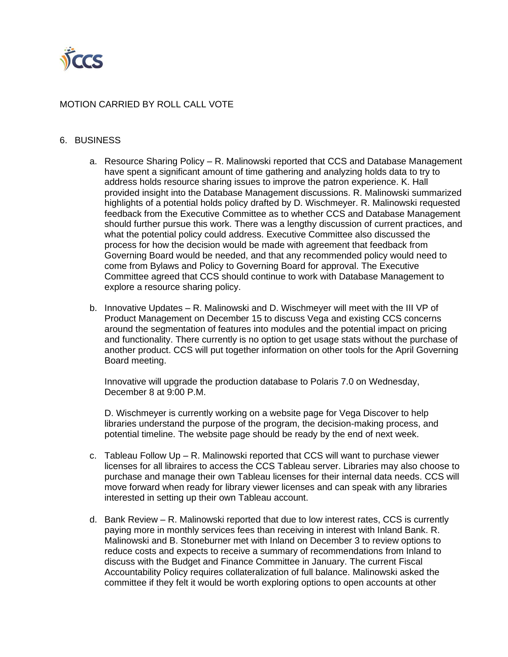

# MOTION CARRIED BY ROLL CALL VOTE

#### 6. BUSINESS

- a. Resource Sharing Policy R. Malinowski reported that CCS and Database Management have spent a significant amount of time gathering and analyzing holds data to try to address holds resource sharing issues to improve the patron experience. K. Hall provided insight into the Database Management discussions. R. Malinowski summarized highlights of a potential holds policy drafted by D. Wischmeyer. R. Malinowski requested feedback from the Executive Committee as to whether CCS and Database Management should further pursue this work. There was a lengthy discussion of current practices, and what the potential policy could address. Executive Committee also discussed the process for how the decision would be made with agreement that feedback from Governing Board would be needed, and that any recommended policy would need to come from Bylaws and Policy to Governing Board for approval. The Executive Committee agreed that CCS should continue to work with Database Management to explore a resource sharing policy.
- b. Innovative Updates R. Malinowski and D. Wischmeyer will meet with the III VP of Product Management on December 15 to discuss Vega and existing CCS concerns around the segmentation of features into modules and the potential impact on pricing and functionality. There currently is no option to get usage stats without the purchase of another product. CCS will put together information on other tools for the April Governing Board meeting.

Innovative will upgrade the production database to Polaris 7.0 on Wednesday, December 8 at 9:00 P.M.

D. Wischmeyer is currently working on a website page for Vega Discover to help libraries understand the purpose of the program, the decision-making process, and potential timeline. The website page should be ready by the end of next week.

- c. Tableau Follow Up R. Malinowski reported that CCS will want to purchase viewer licenses for all libraires to access the CCS Tableau server. Libraries may also choose to purchase and manage their own Tableau licenses for their internal data needs. CCS will move forward when ready for library viewer licenses and can speak with any libraries interested in setting up their own Tableau account.
- d. Bank Review R. Malinowski reported that due to low interest rates, CCS is currently paying more in monthly services fees than receiving in interest with Inland Bank. R. Malinowski and B. Stoneburner met with Inland on December 3 to review options to reduce costs and expects to receive a summary of recommendations from Inland to discuss with the Budget and Finance Committee in January. The current Fiscal Accountability Policy requires collateralization of full balance. Malinowski asked the committee if they felt it would be worth exploring options to open accounts at other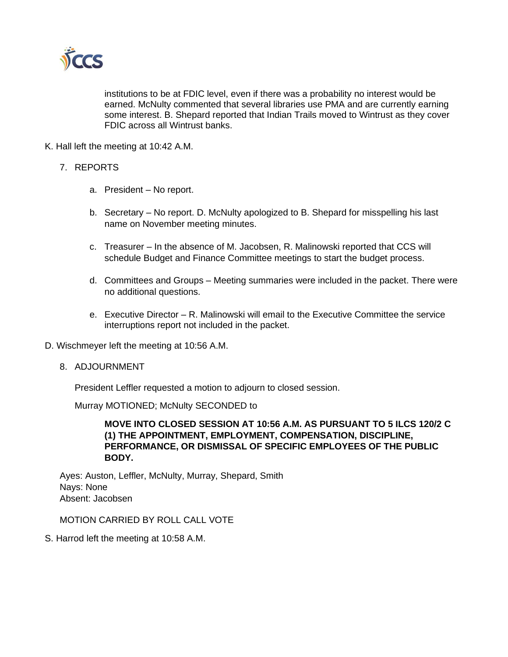

institutions to be at FDIC level, even if there was a probability no interest would be earned. McNulty commented that several libraries use PMA and are currently earning some interest. B. Shepard reported that Indian Trails moved to Wintrust as they cover FDIC across all Wintrust banks.

K. Hall left the meeting at 10:42 A.M.

- 7. REPORTS
	- a. President No report.
	- b. Secretary No report. D. McNulty apologized to B. Shepard for misspelling his last name on November meeting minutes.
	- c. Treasurer In the absence of M. Jacobsen, R. Malinowski reported that CCS will schedule Budget and Finance Committee meetings to start the budget process.
	- d. Committees and Groups Meeting summaries were included in the packet. There were no additional questions.
	- e. Executive Director R. Malinowski will email to the Executive Committee the service interruptions report not included in the packet.
- D. Wischmeyer left the meeting at 10:56 A.M.
	- 8. ADJOURNMENT

President Leffler requested a motion to adjourn to closed session.

Murray MOTIONED; McNulty SECONDED to

**MOVE INTO CLOSED SESSION AT 10:56 A.M. AS PURSUANT TO 5 ILCS 120/2 C (1) THE APPOINTMENT, EMPLOYMENT, COMPENSATION, DISCIPLINE, PERFORMANCE, OR DISMISSAL OF SPECIFIC EMPLOYEES OF THE PUBLIC BODY.**

Ayes: Auston, Leffler, McNulty, Murray, Shepard, Smith Nays: None Absent: Jacobsen

MOTION CARRIED BY ROLL CALL VOTE

S. Harrod left the meeting at 10:58 A.M.